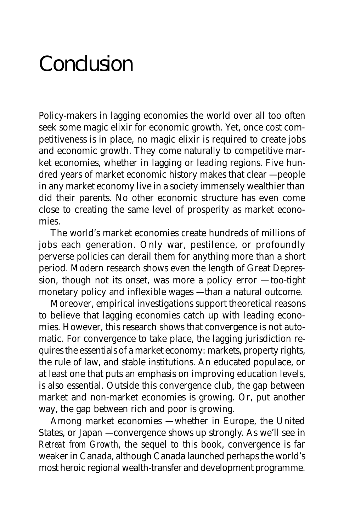# Conclusion

Policy-makers in lagging economies the world over all too often seek some magic elixir for economic growth. Yet, once cost competitiveness is in place, no magic elixir is required to create jobs and economic growth. They come naturally to competitive market economies, whether in lagging or leading regions. Five hundred years of market economic history makes that clear — people in any market economy live in a society immensely wealthier than did their parents. No other economic structure has even come close to creating the same level of prosperity as market economies.

The world's market economies create hundreds of millions of jobs each generation. Only war, pestilence, or profoundly perverse policies can derail them for anything more than a short period. Modern research shows even the length of Great Depression, though not its onset, was more a policy error — too-tight monetary policy and inflexible wages — than a natural outcome.

Moreover, empirical investigations support theoretical reasons to believe that lagging economies catch up with leading economies. However, this research shows that convergence is not automatic. For convergence to take place, the lagging jurisdiction requires the essentials of a market economy: markets, property rights, the rule of law, and stable institutions. An educated populace, or at least one that puts an emphasis on improving education levels, is also essential. Outside this convergence club, the gap between market and non-market economies is growing. Or, put another way, the gap between rich and poor is growing.

Among market economies — whether in Europe, the United States, or Japan — convergence shows up strongly. As we'll see in *Retreat from Growth*, the sequel to this book, convergence is far weaker in Canada, although Canada launched perhaps the world's most heroic regional wealth-transfer and development programme.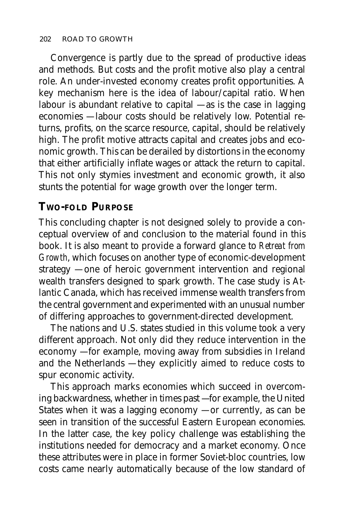Convergence is partly due to the spread of productive ideas and methods. But costs and the profit motive also play a central role. An under-invested economy creates profit opportunities. A key mechanism here is the idea of labour/capital ratio. When labour is abundant relative to capital  $-$  as is the case in lagging economies — labour costs should be relatively low. Potential returns, profits, on the scarce resource, capital, should be relatively high. The profit motive attracts capital and creates jobs and economic growth. This can be derailed by distortions in the economy that either artificially inflate wages or attack the return to capital. This not only stymies investment and economic growth, it also stunts the potential for wage growth over the longer term.

#### **TWO-FOLD PURPOSE**

This concluding chapter is not designed solely to provide a conceptual overview of and conclusion to the material found in this book. It is also meant to provide a forward glance to *Retreat from Growth*, which focuses on another type of economic-development strategy — one of heroic government intervention and regional wealth transfers designed to spark growth. The case study is Atlantic Canada, which has received immense wealth transfers from the central government and experimented with an unusual number of differing approaches to government-directed development.

The nations and U.S. states studied in this volume took a very different approach. Not only did they reduce intervention in the economy — for example, moving away from subsidies in Ireland and the Netherlands — they explicitly aimed to reduce costs to spur economic activity.

This approach marks economies which succeed in overcoming backwardness, whether in times past — for example, the United States when it was a lagging economy  $-$  or currently, as can be seen in transition of the successful Eastern European economies. In the latter case, the key policy challenge was establishing the institutions needed for democracy and a market economy. Once these attributes were in place in former Soviet-bloc countries, low costs came nearly automatically because of the low standard of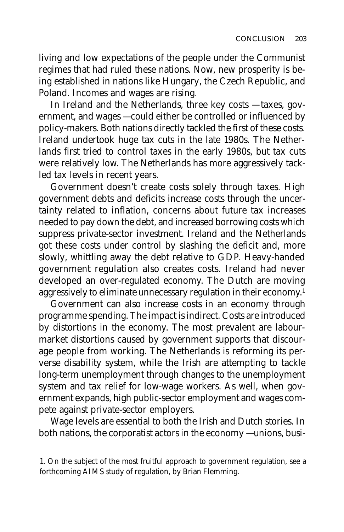living and low expectations of the people under the Communist regimes that had ruled these nations. Now, new prosperity is being established in nations like Hungary, the Czech Republic, and Poland. Incomes and wages are rising.

In Ireland and the Netherlands, three key costs — taxes, government, and wages — could either be controlled or influenced by policy-makers. Both nations directly tackled the first of these costs. Ireland undertook huge tax cuts in the late 1980s. The Netherlands first tried to control taxes in the early 1980s, but tax cuts were relatively low. The Netherlands has more aggressively tackled tax levels in recent years.

Government doesn't create costs solely through taxes. High government debts and deficits increase costs through the uncertainty related to inflation, concerns about future tax increases needed to pay down the debt, and increased borrowing costs which suppress private-sector investment. Ireland and the Netherlands got these costs under control by slashing the deficit and, more slowly, whittling away the debt relative to GDP. Heavy-handed government regulation also creates costs. Ireland had never developed an over-regulated economy. The Dutch are moving aggressively to eliminate unnecessary regulation in their economy.<sup>1</sup>

Government can also increase costs in an economy through programme spending. The impact is indirect. Costs are introduced by distortions in the economy. The most prevalent are labourmarket distortions caused by government supports that discourage people from working. The Netherlands is reforming its perverse disability system, while the Irish are attempting to tackle long-term unemployment through changes to the unemployment system and tax relief for low-wage workers. As well, when government expands, high public-sector employment and wages compete against private-sector employers.

Wage levels are essential to both the Irish and Dutch stories. In both nations, the corporatist actors in the economy — unions, busi-

<sup>1.</sup> On the subject of the most fruitful approach to government regulation, see a forthcoming AIMS study of regulation, by Brian Flemming.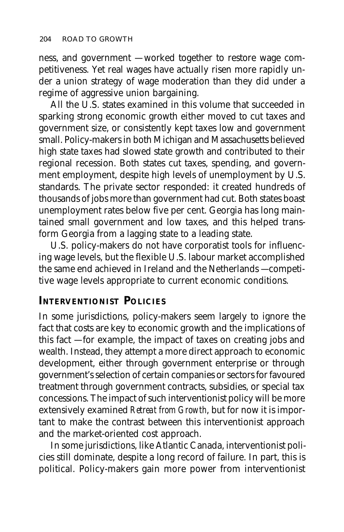ness, and government — worked together to restore wage competitiveness. Yet real wages have actually risen more rapidly under a union strategy of wage moderation than they did under a regime of aggressive union bargaining.

All the U.S. states examined in this volume that succeeded in sparking strong economic growth either moved to cut taxes and government size, or consistently kept taxes low and government small. Policy-makers in both Michigan and Massachusetts believed high state taxes had slowed state growth and contributed to their regional recession. Both states cut taxes, spending, and government employment, despite high levels of unemployment by U.S. standards. The private sector responded: it created hundreds of thousands of jobs more than government had cut. Both states boast unemployment rates below five per cent. Georgia has long maintained small government and low taxes, and this helped transform Georgia from a lagging state to a leading state.

U.S. policy-makers do not have corporatist tools for influencing wage levels, but the flexible U.S. labour market accomplished the same end achieved in Ireland and the Netherlands — competitive wage levels appropriate to current economic conditions.

#### **INTERVENTIONIST POLICIES**

In some jurisdictions, policy-makers seem largely to ignore the fact that costs are key to economic growth and the implications of this fact — for example, the impact of taxes on creating jobs and wealth. Instead, they attempt a more direct approach to economic development, either through government enterprise or through government's selection of certain companies or sectors for favoured treatment through government contracts, subsidies, or special tax concessions. The impact of such interventionist policy will be more extensively examined *Retreat from Growth*, but for now it is important to make the contrast between this interventionist approach and the market-oriented cost approach.

In some jurisdictions, like Atlantic Canada, interventionist policies still dominate, despite a long record of failure. In part, this is political. Policy-makers gain more power from interventionist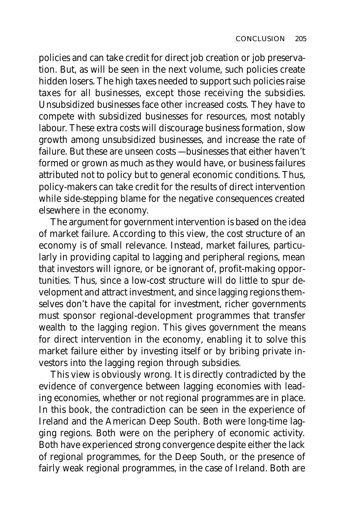policies and can take credit for direct job creation or job preservation. But, as will be seen in the next volume, such policies create hidden losers. The high taxes needed to support such policies raise taxes for all businesses, except those receiving the subsidies. Unsubsidized businesses face other increased costs. They have to compete with subsidized businesses for resources, most notably labour. These extra costs will discourage business formation, slow growth among unsubsidized businesses, and increase the rate of failure. But these are unseen costs — businesses that either haven't formed or grown as much as they would have, or business failures attributed not to policy but to general economic conditions. Thus, policy-makers can take credit for the results of direct intervention while side-stepping blame for the negative consequences created elsewhere in the economy.

The argument for government intervention is based on the idea of market failure. According to this view, the cost structure of an economy is of small relevance. Instead, market failures, particularly in providing capital to lagging and peripheral regions, mean that investors will ignore, or be ignorant of, profit-making opportunities. Thus, since a low-cost structure will do little to spur development and attract investment, and since lagging regions themselves don't have the capital for investment, richer governments must sponsor regional-development programmes that transfer wealth to the lagging region. This gives government the means for direct intervention in the economy, enabling it to solve this market failure either by investing itself or by bribing private investors into the lagging region through subsidies.

This view is obviously wrong. It is directly contradicted by the evidence of convergence between lagging economies with leading economies, whether or not regional programmes are in place. In this book, the contradiction can be seen in the experience of Ireland and the American Deep South. Both were long-time lagging regions. Both were on the periphery of economic activity. Both have experienced strong convergence despite either the lack of regional programmes, for the Deep South, or the presence of fairly weak regional programmes, in the case of Ireland. Both are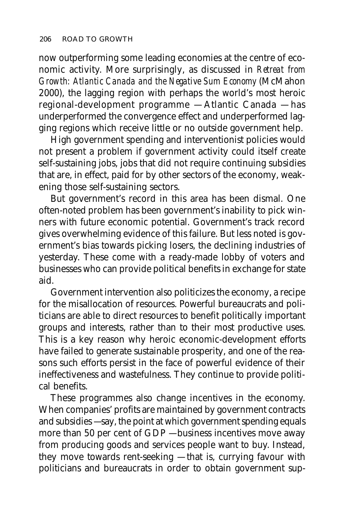now outperforming some leading economies at the centre of economic activity. More surprisingly, as discussed in *Retreat from Growth: Atlantic Canada and the Negative Sum Economy* (McMahon 2000), the lagging region with perhaps the world's most heroic regional-development programme — Atlantic Canada — has underperformed the convergence effect and underperformed lagging regions which receive little or no outside government help.

High government spending and interventionist policies would not present a problem if government activity could itself create self-sustaining jobs, jobs that did not require continuing subsidies that are, in effect, paid for by other sectors of the economy, weakening those self-sustaining sectors.

But government's record in this area has been dismal. One often-noted problem has been government's inability to pick winners with future economic potential. Government's track record gives overwhelming evidence of this failure. But less noted is government's bias towards picking losers, the declining industries of yesterday. These come with a ready-made lobby of voters and businesses who can provide political benefits in exchange for state aid.

Government intervention also politicizes the economy, a recipe for the misallocation of resources. Powerful bureaucrats and politicians are able to direct resources to benefit politically important groups and interests, rather than to their most productive uses. This is a key reason why heroic economic-development efforts have failed to generate sustainable prosperity, and one of the reasons such efforts persist in the face of powerful evidence of their ineffectiveness and wastefulness. They continue to provide political benefits.

These programmes also change incentives in the economy. When companies' profits are maintained by government contracts and subsidies — say, the point at which government spending equals more than 50 per cent of GDP — business incentives move away from producing goods and services people want to buy. Instead, they move towards rent-seeking — that is, currying favour with politicians and bureaucrats in order to obtain government sup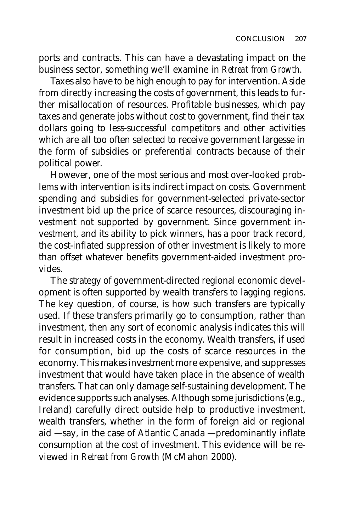ports and contracts. This can have a devastating impact on the business sector, something we'll examine in *Retreat from Growth*.

Taxes also have to be high enough to pay for intervention. Aside from directly increasing the costs of government, this leads to further misallocation of resources. Profitable businesses, which pay taxes and generate jobs without cost to government, find their tax dollars going to less-successful competitors and other activities which are all too often selected to receive government largesse in the form of subsidies or preferential contracts because of their political power.

However, one of the most serious and most over-looked problems with intervention is its indirect impact on costs. Government spending and subsidies for government-selected private-sector investment bid up the price of scarce resources, discouraging investment not supported by government. Since government investment, and its ability to pick winners, has a poor track record, the cost-inflated suppression of other investment is likely to more than offset whatever benefits government-aided investment provides.

The strategy of government-directed regional economic development is often supported by wealth transfers to lagging regions. The key question, of course, is how such transfers are typically used. If these transfers primarily go to consumption, rather than investment, then any sort of economic analysis indicates this will result in increased costs in the economy. Wealth transfers, if used for consumption, bid up the costs of scarce resources in the economy. This makes investment more expensive, and suppresses investment that would have taken place in the absence of wealth transfers. That can only damage self-sustaining development. The evidence supports such analyses. Although some jurisdictions (e.g., Ireland) carefully direct outside help to productive investment, wealth transfers, whether in the form of foreign aid or regional aid — say, in the case of Atlantic Canada — predominantly inflate consumption at the cost of investment. This evidence will be reviewed in *Retreat from Growth* (McMahon 2000).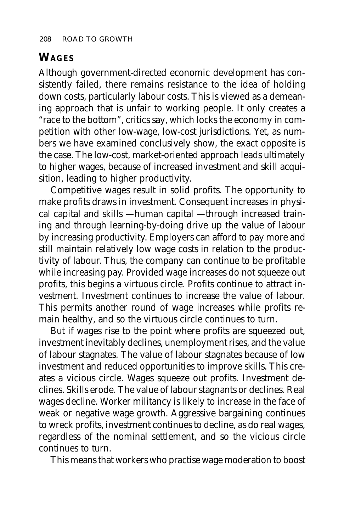### **WAGES**

Although government-directed economic development has consistently failed, there remains resistance to the idea of holding down costs, particularly labour costs. This is viewed as a demeaning approach that is unfair to working people. It only creates a "race to the bottom", critics say, which locks the economy in competition with other low-wage, low-cost jurisdictions. Yet, as numbers we have examined conclusively show, the exact opposite is the case. The low-cost, market-oriented approach leads ultimately to higher wages, because of increased investment and skill acquisition, leading to higher productivity.

Competitive wages result in solid profits. The opportunity to make profits draws in investment. Consequent increases in physical capital and skills — human capital — through increased training and through learning-by-doing drive up the value of labour by increasing productivity. Employers can afford to pay more and still maintain relatively low wage costs in relation to the productivity of labour. Thus, the company can continue to be profitable while increasing pay. Provided wage increases do not squeeze out profits, this begins a virtuous circle. Profits continue to attract investment. Investment continues to increase the value of labour. This permits another round of wage increases while profits remain healthy, and so the virtuous circle continues to turn.

But if wages rise to the point where profits are squeezed out, investment inevitably declines, unemployment rises, and the value of labour stagnates. The value of labour stagnates because of low investment and reduced opportunities to improve skills. This creates a vicious circle. Wages squeeze out profits. Investment declines. Skills erode. The value of labour stagnants or declines. Real wages decline. Worker militancy is likely to increase in the face of weak or negative wage growth. Aggressive bargaining continues to wreck profits, investment continues to decline, as do real wages, regardless of the nominal settlement, and so the vicious circle continues to turn.

This means that workers who practise wage moderation to boost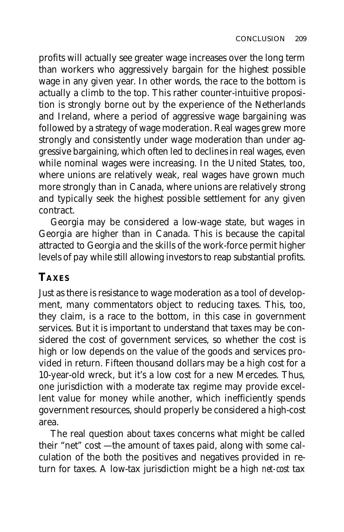profits will actually see greater wage increases over the long term than workers who aggressively bargain for the highest possible wage in any given year. In other words, the race to the bottom is actually a climb to the top. This rather counter-intuitive proposition is strongly borne out by the experience of the Netherlands and Ireland, where a period of aggressive wage bargaining was followed by a strategy of wage moderation. Real wages grew more strongly and consistently under wage moderation than under aggressive bargaining, which often led to declines in real wages, even while nominal wages were increasing. In the United States, too, where unions are relatively weak, real wages have grown much more strongly than in Canada, where unions are relatively strong and typically seek the highest possible settlement for any given contract.

Georgia may be considered a low-wage state, but wages in Georgia are higher than in Canada. This is because the capital attracted to Georgia and the skills of the work-force permit higher levels of pay while still allowing investors to reap substantial profits.

## **TAXES**

Just as there is resistance to wage moderation as a tool of development, many commentators object to reducing taxes. This, too, they claim, is a race to the bottom, in this case in government services. But it is important to understand that taxes may be considered the cost of government services, so whether the cost is high or low depends on the value of the goods and services provided in return. Fifteen thousand dollars may be a high cost for a 10-year-old wreck, but it's a low cost for a new Mercedes. Thus, one jurisdiction with a moderate tax regime may provide excellent value for money while another, which inefficiently spends government resources, should properly be considered a high-cost area.

The real question about taxes concerns what might be called their "net" cost — the amount of taxes paid, along with some calculation of the both the positives and negatives provided in return for taxes. A low-tax jurisdiction might be a high *net-cost* tax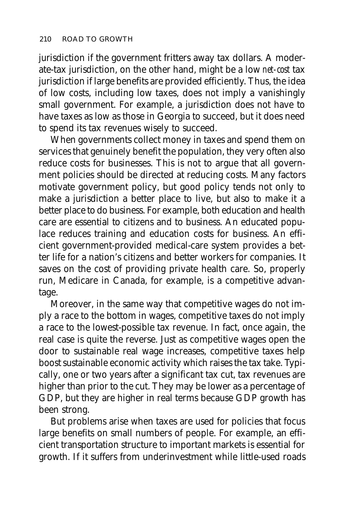jurisdiction if the government fritters away tax dollars. A moderate-tax jurisdiction, on the other hand, might be a low *net-cost* tax jurisdiction if large benefits are provided efficiently. Thus, the idea of low costs, including low taxes, does not imply a vanishingly small government. For example, a jurisdiction does not have to have taxes as low as those in Georgia to succeed, but it does need to spend its tax revenues wisely to succeed.

When governments collect money in taxes and spend them on services that genuinely benefit the population, they very often also reduce costs for businesses. This is not to argue that all government policies should be directed at reducing costs. Many factors motivate government policy, but good policy tends not only to make a jurisdiction a better place to live, but also to make it a better place to do business. For example, both education and health care are essential to citizens and to business. An educated populace reduces training and education costs for business. An efficient government-provided medical-care system provides a better life for a nation's citizens and better workers for companies. It saves on the cost of providing private health care. So, properly run, Medicare in Canada, for example, is a competitive advantage.

Moreover, in the same way that competitive wages do not imply a race to the bottom in wages, competitive taxes do not imply a race to the lowest-possible tax revenue. In fact, once again, the real case is quite the reverse. Just as competitive wages open the door to sustainable real wage increases, competitive taxes help boost sustainable economic activity which raises the tax take. Typically, one or two years after a significant tax cut, tax revenues are higher than prior to the cut. They may be lower as a percentage of GDP, but they are higher in real terms because GDP growth has been strong.

But problems arise when taxes are used for policies that focus large benefits on small numbers of people. For example, an efficient transportation structure to important markets is essential for growth. If it suffers from underinvestment while little-used roads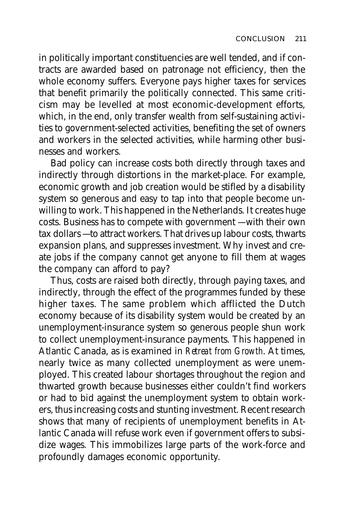in politically important constituencies are well tended, and if contracts are awarded based on patronage not efficiency, then the whole economy suffers. Everyone pays higher taxes for services that benefit primarily the politically connected. This same criticism may be levelled at most economic-development efforts, which, in the end, only transfer wealth from self-sustaining activities to government-selected activities, benefiting the set of owners and workers in the selected activities, while harming other businesses and workers.

Bad policy can increase costs both directly through taxes and indirectly through distortions in the market-place. For example, economic growth and job creation would be stifled by a disability system so generous and easy to tap into that people become unwilling to work. This happened in the Netherlands. It creates huge costs. Business has to compete with government — with their own tax dollars — to attract workers. That drives up labour costs, thwarts expansion plans, and suppresses investment. Why invest and create jobs if the company cannot get anyone to fill them at wages the company can afford to pay?

Thus, costs are raised both directly, through paying taxes, and indirectly, through the effect of the programmes funded by these higher taxes. The same problem which afflicted the Dutch economy because of its disability system would be created by an unemployment-insurance system so generous people shun work to collect unemployment-insurance payments. This happened in Atlantic Canada, as is examined in *Retreat from Growth*. At times, nearly twice as many collected unemployment as were unemployed. This created labour shortages throughout the region and thwarted growth because businesses either couldn't find workers or had to bid against the unemployment system to obtain workers, thus increasing costs and stunting investment. Recent research shows that many of recipients of unemployment benefits in Atlantic Canada will refuse work even if government offers to subsidize wages. This immobilizes large parts of the work-force and profoundly damages economic opportunity.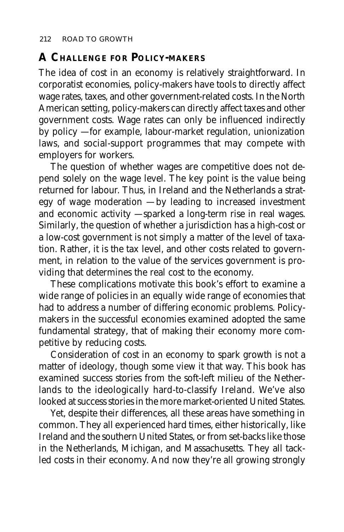#### **A CHALLENGE FOR POLICY-MAKERS**

The idea of cost in an economy is relatively straightforward. In corporatist economies, policy-makers have tools to directly affect wage rates, taxes, and other government-related costs. In the North American setting, policy-makers can directly affect taxes and other government costs. Wage rates can only be influenced indirectly by policy — for example, labour-market regulation, unionization laws, and social-support programmes that may compete with employers for workers.

The question of whether wages are competitive does not depend solely on the wage level. The key point is the value being returned for labour. Thus, in Ireland and the Netherlands a strategy of wage moderation — by leading to increased investment and economic activity — sparked a long-term rise in real wages. Similarly, the question of whether a jurisdiction has a high-cost or a low-cost government is not simply a matter of the level of taxation. Rather, it is the tax level, and other costs related to government, in relation to the value of the services government is providing that determines the real cost to the economy.

These complications motivate this book's effort to examine a wide range of policies in an equally wide range of economies that had to address a number of differing economic problems. Policymakers in the successful economies examined adopted the same fundamental strategy, that of making their economy more competitive by reducing costs.

Consideration of cost in an economy to spark growth is not a matter of ideology, though some view it that way. This book has examined success stories from the soft-left milieu of the Netherlands to the ideologically hard-to-classify Ireland. We've also looked at success stories in the more market-oriented United States.

Yet, despite their differences, all these areas have something in common. They all experienced hard times, either historically, like Ireland and the southern United States, or from set-backs like those in the Netherlands, Michigan, and Massachusetts. They all tackled costs in their economy. And now they're all growing strongly